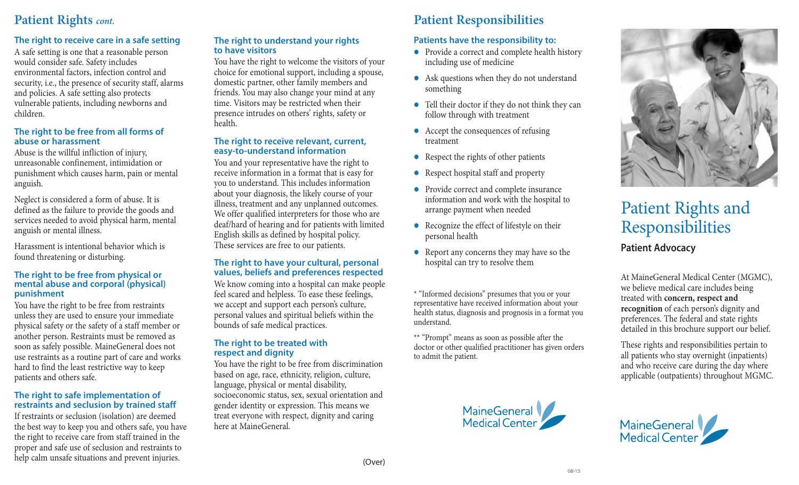### **Patient Rights** *cont.*

### **The right to receive care in a safe setting**

A safe setting is one that a reasonable person would consider safe. Safety includes environmental factors, infection control and security, i.e., the presence of security staff, alarms and policies. A safe setting also protects vulnerable patients, including newborns and children.

### **The right to be free from all forms of abuse or harassment**

Abuse is the willful infliction of injury, unreasonable confinement, intimidation or punishment which causes harm, pain or mental anguish.

Neglect is considered a form of abuse. It is defined as the failure to provide the goods and services needed to avoid physical harm, mental anguish or mental illness.

Harassment is intentional behavior which is found threatening or disturbing.

### **The right to be free from physical or mental abuse and corporal (physical) punishment**

You have the right to be free from restraints unless they are used to ensure your immediate physical safety or the safety of a staff member or another person. Restraints must be removed as soon as safely possible. MaineGeneral does not use restraints as a routine part of care and works hard to find the least restrictive way to keep patients and others safe.

### **The right to safe implementation of restraints and seclusion by trained staff**

If restraints or seclusion (isolation) are deemed the best way to keep you and others safe, you have the right to receive care from staff trained in the proper and safe use of seclusion and restraints to help calm unsafe situations and prevent injuries.

### **The right to understand your rights to have visitors**

You have the right to welcome the visitors of your choice for emotional support, including a spouse, domestic partner, other family members and friends. You may also change your mind at any time. Visitors may be restricted when their presence intrudes on others' rights, safety or health.

### **The right to receive relevant, current, easy-to-understand information**

You and your representative have the right to receive information in a format that is easy for you to understand. This includes information about your diagnosis, the likely course of your illness, treatment and any unplanned outcomes. We offer qualified interpreters for those who are deaf/hard of hearing and for patients with limited English skills as defined by hospital policy. These services are free to our patients.

### **The right to have your cultural, personal values, beliefs and preferences respected**

We know coming into a hospital can make people feel scared and helpless. To ease these feelings, we accept and support each person's culture, personal values and spiritual beliefs within the bounds of safe medical practices.

### **The right to be treated with respect and dignity**

You have the right to be free from discrimination based on age, race, ethnicity, religion, culture, language, physical or mental disability, socioeconomic status, sex, sexual orientation and gender identity or expression. This means we treat everyone with respect, dignity and caring here at MaineGeneral.

### **Patient Responsibilities Patients have the responsibility to:**

- Provide a correct and complete health history including use of medicine
- $\bullet$  Ask questions when they do not understand something
- Tell their doctor if they do not think they can follow through with treatment
- Accept the consequences of refusing treatment
- Respect the rights of other patients
- **•** Respect hospital staff and property
- **•** Provide correct and complete insurance information and work with the hospital to arrange payment when needed
- Recognize the effect of lifestyle on their personal health
- $\bullet$  Report any concerns they may have so the hospital can try to resolve them

\* "Informed decisions" presumes that you or your representative have received information about your health status, diagnosis and prognosis in a format you understand.

\*\* "Prompt" means as soon as possible after the doctor or other qualified practitioner has given orders to admit the patient.





## Patient Rights and Responsibilities **Patient Advocacy**

At MaineGeneral Medical Center (MGMC), we believe medical care includes being treated with **concern, respect and recognition** of each person's dignity and preferences. The federal and state rights detailed in this brochure support our belief.

These rights and responsibilities pertain to all patients who stay overnight (inpatients) and who receive care during the day where applicable (outpatients) throughout MGMC.